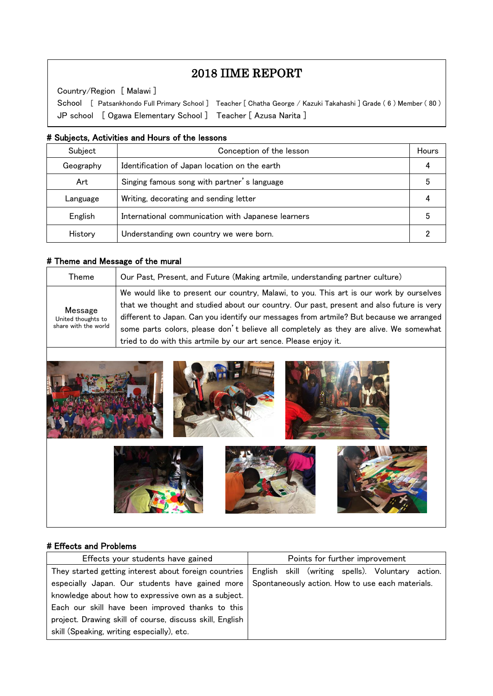# 2018 IIME REPORT

Country/Region [ Malawi ]

 $\overline{\phantom{a}}$  $\overline{\phantom{a}}$  $\overline{\phantom{a}}$ 

 $\overline{\phantom{a}}$  $\overline{a}$ 

 School [ Patsankhondo Full Primary School ] Teacher [ Chatha George / Kazuki Takahashi ] Grade ( 6 ) Member ( 80 ) JP school [ Ogawa Elementary School ] Teacher [ Azusa Narita ]

#### # Subjects, Activities and Hours of the lessons

| Subject   | Conception of the lesson                           | Hours |
|-----------|----------------------------------------------------|-------|
| Geography | Identification of Japan location on the earth      |       |
| Art       | Singing famous song with partner's language        |       |
| Language  | Writing, decorating and sending letter             |       |
| English   | International communication with Japanese learners |       |
| History   | Understanding own country we were born.            |       |

#### # Theme and Message of the mural

| Theme                                                 | Our Past, Present, and Future (Making artmile, understanding partner culture)                                                                                                                                                                                                                                                                                                                                                               |
|-------------------------------------------------------|---------------------------------------------------------------------------------------------------------------------------------------------------------------------------------------------------------------------------------------------------------------------------------------------------------------------------------------------------------------------------------------------------------------------------------------------|
| Message<br>United thoughts to<br>share with the world | We would like to present our country, Malawi, to you. This art is our work by ourselves<br>that we thought and studied about our country. Our past, present and also future is very<br>different to Japan. Can you identify our messages from artmile? But because we arranged<br>some parts colors, please don't believe all completely as they are alive. We somewhat<br>tried to do with this artmile by our art sence. Please enjoy it. |



#### # Effects and Problems

| Effects your students have gained                        | Points for further improvement                       |  |  |  |
|----------------------------------------------------------|------------------------------------------------------|--|--|--|
| They started getting interest about foreign countries    | English skill (writing spells). Voluntary<br>action. |  |  |  |
| especially Japan. Our students have gained more          | Spontaneously action. How to use each materials.     |  |  |  |
| knowledge about how to expressive own as a subject.      |                                                      |  |  |  |
| Each our skill have been improved thanks to this         |                                                      |  |  |  |
| project. Drawing skill of course, discuss skill, English |                                                      |  |  |  |
| skill (Speaking, writing especially), etc.               |                                                      |  |  |  |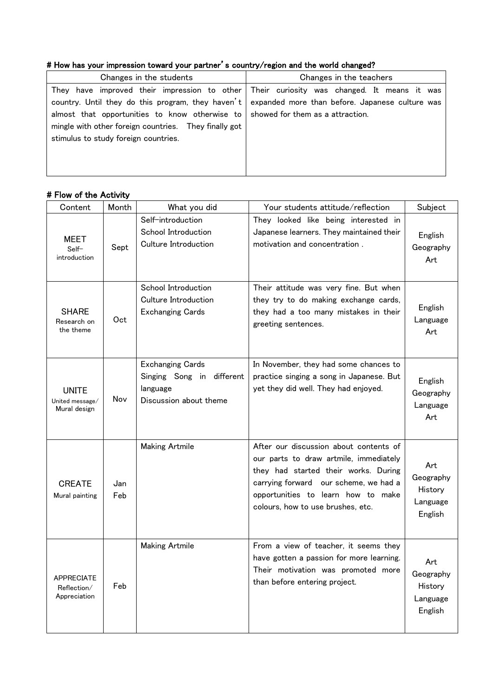## # How has your impression toward your partner's country/region and the world changed?

| Changes in the students                                                                                                                                                          | Changes in the teachers                                                                                                                                                                        |  |
|----------------------------------------------------------------------------------------------------------------------------------------------------------------------------------|------------------------------------------------------------------------------------------------------------------------------------------------------------------------------------------------|--|
| almost that opportunities to know otherwise to showed for them as a attraction.<br>mingle with other foreign countries. They finally got<br>stimulus to study foreign countries. | They have improved their impression to other Their curiosity was changed. It means it was<br>country. Until they do this program, they haven't expanded more than before. Japanese culture was |  |

### # Flow of the Activity

| Content                                          | Month      | What you did                                                                               | Your students attitude/reflection                                                                                                                                                                                                            | Subject                                            |
|--------------------------------------------------|------------|--------------------------------------------------------------------------------------------|----------------------------------------------------------------------------------------------------------------------------------------------------------------------------------------------------------------------------------------------|----------------------------------------------------|
| MEET<br>Self-<br>introduction                    | Sept       | Self-introduction<br>School Introduction<br><b>Culture Introduction</b>                    | They looked like being interested in<br>Japanese learners. They maintained their<br>motivation and concentration.                                                                                                                            | English<br>Geography<br>Art                        |
| <b>SHARE</b><br>Research on<br>the theme         | Oct        | School Introduction<br>Culture Introduction<br><b>Exchanging Cards</b>                     | Their attitude was very fine. But when<br>they try to do making exchange cards,<br>they had a too many mistakes in their<br>greeting sentences.                                                                                              | English<br>Language<br>Art                         |
| <b>UNITE</b><br>United message/<br>Mural design  | Nov        | <b>Exchanging Cards</b><br>Singing Song in different<br>language<br>Discussion about theme | In November, they had some chances to<br>practice singing a song in Japanese. But<br>yet they did well. They had enjoyed.                                                                                                                    | English<br>Geography<br>Language<br>Art            |
| <b>CREATE</b><br>Mural painting                  | Jan<br>Feb | <b>Making Artmile</b>                                                                      | After our discussion about contents of<br>our parts to draw artmile, immediately<br>they had started their works. During<br>carrying forward our scheme, we had a<br>opportunities to learn how to make<br>colours, how to use brushes, etc. | Art<br>Geography<br>History<br>Language<br>English |
| <b>APPRECIATE</b><br>Reflection/<br>Appreciation | Feb        | <b>Making Artmile</b>                                                                      | From a view of teacher, it seems they<br>have gotten a passion for more learning.<br>Their motivation was promoted more<br>than before entering project.                                                                                     | Art<br>Geography<br>History<br>Language<br>English |